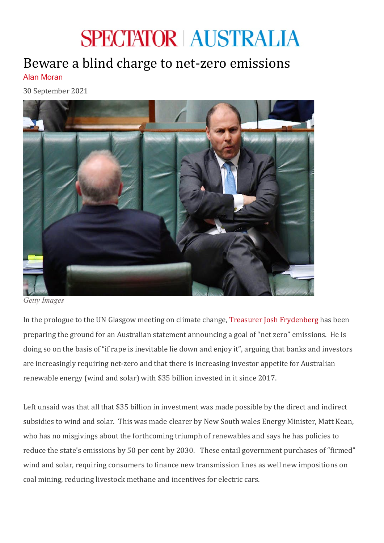## **SPECTATOR AUSTRALIA**

## Beware a blind charge to net-zero emissions Alan [Moran](https://www.spectator.com.au/author/alanmoran/)

30 September 2021



*Getty Images*

In the prologue to the UN Glasgow meeting on climate change, [Treasurer Josh Frydenberg](https://joshfrydenberg.com.au/wp-content/uploads/2021/09/Treasurer-Speech-Capital-markets-and-the-transition-to-a-low-emissions-future-Australian-Industry-Group-24-September-2021.pdf) has been preparing the ground for an Australian statement announcing a goal of "net zero" emissions. He is doing so on the basis of "if rape is inevitable lie down and enjoy it", arguing that banks and investors are increasingly requiring net-zero and that there is increasing investor appetite for Australian renewable energy (wind and solar) with \$35 billion invested in it since 2017.

Left unsaid was that all that \$35 billion in investment was made possible by the direct and indirect subsidies to wind and solar. This was made clearer by New South wales Energy Minister, Matt Kean, who has no misgivings about the forthcoming triumph of renewables and says he has policies to reduce the state's emissions by 50 per cent by 2030. These entail government purchases of "firmed" wind and solar, requiring consumers to finance new transmission lines as well new impositions on coal mining, reducing livestock methane and incentives for electric cars.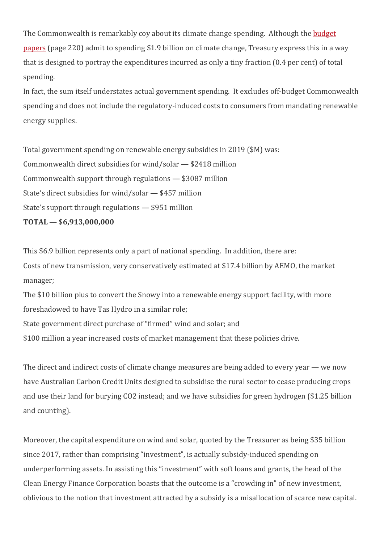The Commonwealth is remarkably coy about its climate change spending. Although the **budget** [papers](https://budget.gov.au/2021-22/content/bp1/download/bp1_bs7.pdf) (page 220) admit to spending \$1.9 billion on climate change, Treasury express this in a way that is designed to portray the expenditures incurred as only a tiny fraction (0.4 per cent) of total spending. 

In fact, the sum itself understates actual government spending. It excludes off-budget Commonwealth spending and does not include the regulatory-induced costs to consumers from mandating renewable energy supplies.

Total government spending on renewable energy subsidies in 2019 (\$M) was: Commonwealth direct subsidies for wind/solar — \$2418 million Commonwealth support through regulations — \$3087 million State's direct subsidies for wind/solar — \$457 million State's support through regulations — \$951 million **TOTAL** — \$**6,913,000,000**

This \$6.9 billion represents only a part of national spending. In addition, there are: Costs of new transmission, very conservatively estimated at \$17.4 billion by AEMO, the market manager;

The \$10 billion plus to convert the Snowy into a renewable energy support facility, with more foreshadowed to have Tas Hydro in a similar role;

State government direct purchase of "firmed" wind and solar; and

\$100 million a year increased costs of market management that these policies drive.

The direct and indirect costs of climate change measures are being added to every year — we now have Australian Carbon Credit Units designed to subsidise the rural sector to cease producing crops and use their land for burying CO2 instead; and we have subsidies for green hydrogen (\$1.25 billion and counting). 

Moreover, the capital expenditure on wind and solar, quoted by the Treasurer as being \$35 billion since 2017, rather than comprising "investment", is actually subsidy-induced spending on underperforming assets. In assisting this "investment" with soft loans and grants, the head of the Clean Energy Finance Corporation boasts that the outcome is a "crowding in" of new investment, oblivious to the notion that investment attracted by a subsidy is a misallocation of scarce new capital.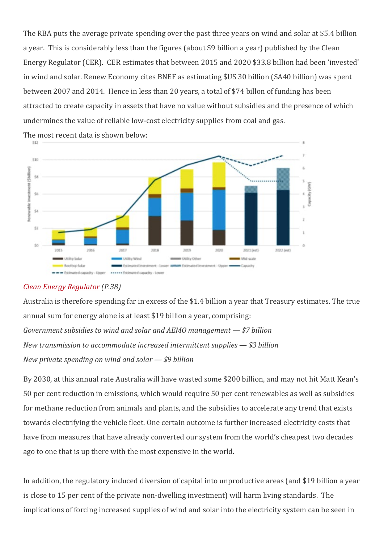The RBA puts the average private spending over the past three years on wind and solar at \$5.4 billion a year. This is considerably less than the figures (about \$9 billion a year) published by the Clean Energy Regulator (CER). CER estimates that between 2015 and 2020 \$33.8 billion had been 'invested' in wind and solar. Renew Economy cites BNEF as estimating \$US 30 billion (\$A40 billion) was spent between 2007 and 2014. Hence in less than 20 years, a total of \$74 billon of funding has been attracted to create capacity in assets that have no value without subsidies and the presence of which undermines the value of reliable low-cost electricity supplies from coal and gas.



The most recent data is shown below:

## *[Clean Energy Regulator](http://www.cleanenergyregulator.gov.au/DocumentAssets/Documents/Quarterly%20Carbon%20Market%20Report%20%E2%80%93%20December%20Quarter%202020.pdf) (P.38)*

Australia is therefore spending far in excess of the \$1.4 billion a year that Treasury estimates. The true annual sum for energy alone is at least \$19 billion a year, comprising: *Government subsidies to wind and solar and AEMO management — \$7 billion New transmission to accommodate increased intermittent supplies — \$3 billion New private spending on wind and solar — \$9 billion*

By 2030, at this annual rate Australia will have wasted some \$200 billion, and may not hit Matt Kean's 50 per cent reduction in emissions, which would require 50 per cent renewables as well as subsidies for methane reduction from animals and plants, and the subsidies to accelerate any trend that exists towards electrifying the vehicle fleet. One certain outcome is further increased electricity costs that have from measures that have already converted our system from the world's cheapest two decades ago to one that is up there with the most expensive in the world.

In addition, the regulatory induced diversion of capital into unproductive areas (and \$19 billion a year is close to 15 per cent of the private non-dwelling investment) will harm living standards. The implications of forcing increased supplies of wind and solar into the electricity system can be seen in